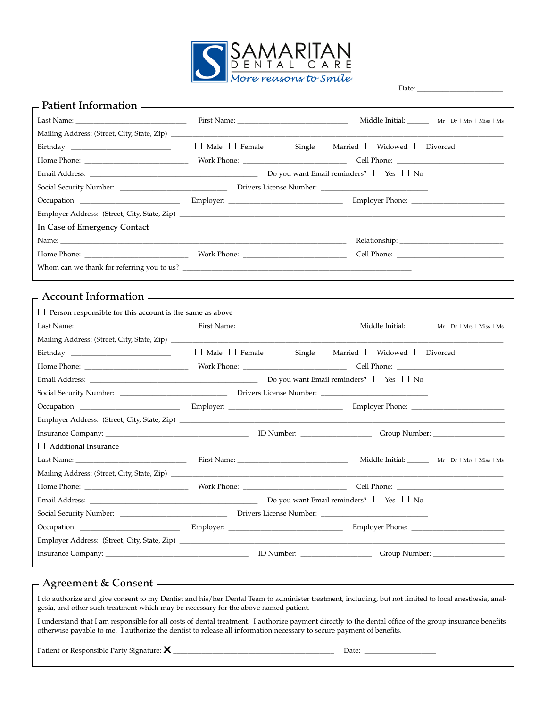

Date: \_\_\_\_\_\_\_\_\_\_\_\_\_\_\_\_\_\_\_\_\_\_\_\_

| $\overline{a}$ Patient Information $\overline{a}$                  |                                                                                       |                                                   |  |  |
|--------------------------------------------------------------------|---------------------------------------------------------------------------------------|---------------------------------------------------|--|--|
|                                                                    |                                                                                       |                                                   |  |  |
|                                                                    |                                                                                       |                                                   |  |  |
|                                                                    | $\Box$ Male $\Box$ Female $\Box$ Single $\Box$ Married $\Box$ Widowed $\Box$ Divorced |                                                   |  |  |
|                                                                    |                                                                                       |                                                   |  |  |
|                                                                    |                                                                                       |                                                   |  |  |
|                                                                    |                                                                                       |                                                   |  |  |
|                                                                    |                                                                                       |                                                   |  |  |
|                                                                    |                                                                                       |                                                   |  |  |
| In Case of Emergency Contact                                       |                                                                                       |                                                   |  |  |
|                                                                    |                                                                                       |                                                   |  |  |
|                                                                    |                                                                                       |                                                   |  |  |
|                                                                    | Whom can we thank for referring you to us?                                            |                                                   |  |  |
|                                                                    |                                                                                       |                                                   |  |  |
| - Account Information ————————————————————                         |                                                                                       |                                                   |  |  |
| $\Box$<br>Person responsible for this account is the same as above |                                                                                       |                                                   |  |  |
|                                                                    |                                                                                       | Middle Initial: _______ Mr   Dr   Mrs   Miss   Ms |  |  |
|                                                                    |                                                                                       |                                                   |  |  |
|                                                                    |                                                                                       |                                                   |  |  |
|                                                                    |                                                                                       |                                                   |  |  |
|                                                                    |                                                                                       |                                                   |  |  |
|                                                                    |                                                                                       |                                                   |  |  |
|                                                                    |                                                                                       |                                                   |  |  |
|                                                                    |                                                                                       |                                                   |  |  |
|                                                                    |                                                                                       |                                                   |  |  |
| $\Box$ Additional Insurance                                        |                                                                                       |                                                   |  |  |
|                                                                    |                                                                                       | Middle Initial: Mr   Dr   Mrs   Miss   Ms         |  |  |
|                                                                    |                                                                                       |                                                   |  |  |
|                                                                    |                                                                                       |                                                   |  |  |
|                                                                    | Do you want Email reminders? $\Box$ Yes $\Box$ No                                     |                                                   |  |  |
|                                                                    |                                                                                       |                                                   |  |  |
|                                                                    |                                                                                       |                                                   |  |  |
|                                                                    |                                                                                       |                                                   |  |  |
|                                                                    |                                                                                       |                                                   |  |  |

## **Agreement & Consent**

I do authorize and give consent to my Dentist and his/her Dental Team to administer treatment, including, but not limited to local anesthesia, analgesia, and other such treatment which may be necessary for the above named patient.

I understand that I am responsible for all costs of dental treatment. I authorize payment directly to the dental office of the group insurance benefits otherwise payable to me. I authorize the dentist to release all information necessary to secure payment of benefits.

Patient or Responsible Party Signature: **X** \_\_\_\_\_\_\_\_\_\_\_\_\_\_\_\_\_\_\_\_\_\_\_\_\_\_\_\_\_\_\_\_\_\_\_\_\_\_\_\_\_\_\_\_\_ Date: \_\_\_\_\_\_\_\_\_\_\_\_\_\_\_\_\_\_\_\_